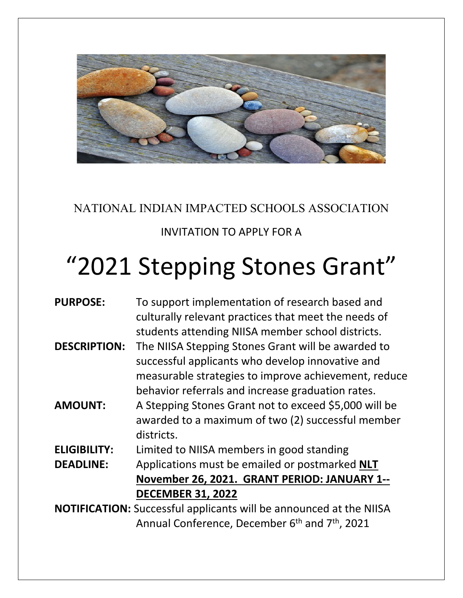

## NATIONAL INDIAN IMPACTED SCHOOLS ASSOCIATION

## INVITATION TO APPLY FOR A

## "2021 Stepping Stones Grant"

| <b>PURPOSE:</b>                                                           | To support implementation of research based and                        |  |
|---------------------------------------------------------------------------|------------------------------------------------------------------------|--|
|                                                                           | culturally relevant practices that meet the needs of                   |  |
|                                                                           | students attending NIISA member school districts.                      |  |
| <b>DESCRIPTION:</b>                                                       | The NIISA Stepping Stones Grant will be awarded to                     |  |
|                                                                           | successful applicants who develop innovative and                       |  |
|                                                                           | measurable strategies to improve achievement, reduce                   |  |
|                                                                           | behavior referrals and increase graduation rates.                      |  |
| <b>AMOUNT:</b>                                                            | A Stepping Stones Grant not to exceed \$5,000 will be                  |  |
|                                                                           | awarded to a maximum of two (2) successful member                      |  |
|                                                                           | districts.                                                             |  |
| <b>ELIGIBILITY:</b>                                                       | Limited to NIISA members in good standing                              |  |
| <b>DEADLINE:</b>                                                          | Applications must be emailed or postmarked NLT                         |  |
|                                                                           | November 26, 2021. GRANT PERIOD: JANUARY 1--                           |  |
|                                                                           | <b>DECEMBER 31, 2022</b>                                               |  |
| <b>NOTIFICATION:</b> Successful applicants will be announced at the NIISA |                                                                        |  |
|                                                                           | Annual Conference, December 6 <sup>th</sup> and 7 <sup>th</sup> , 2021 |  |